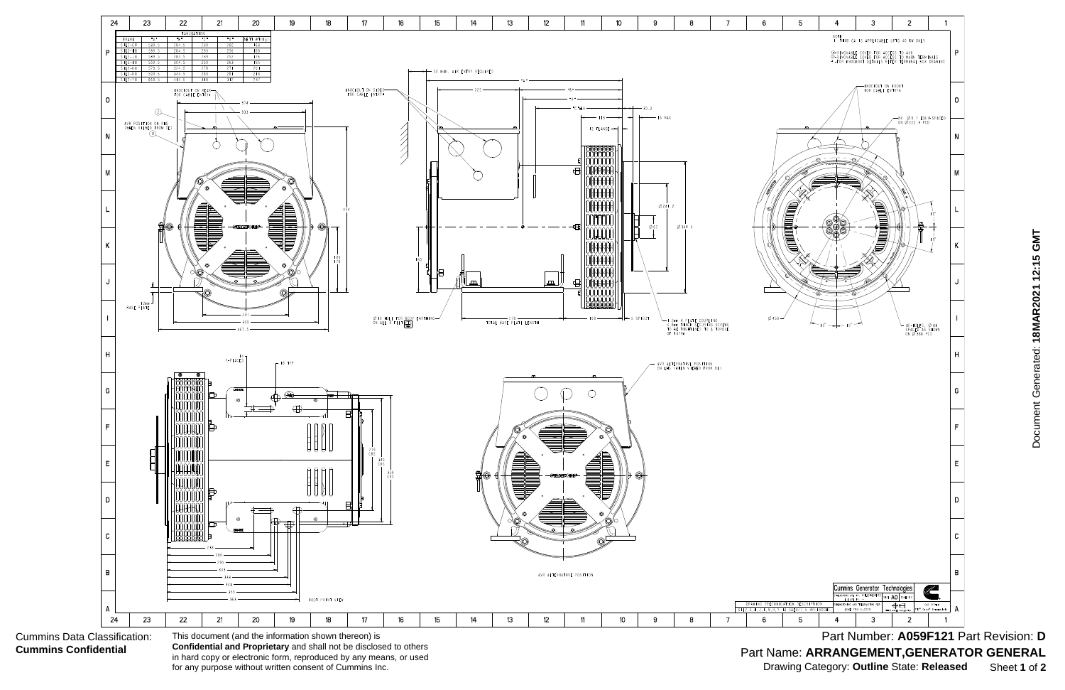

Part Number: A059F121 Part Revision: D Part Name: **ARRANGEMENT,GENERATOR GENERAL** Drawing Category: **Outline** State: **Released** Sheet **1** of **2**

Cummins Data Classification: **Cummins Confidential**

in hard copy or electronic form, reproduced by any means, or used for any purpose without written consent of Cummins Inc.